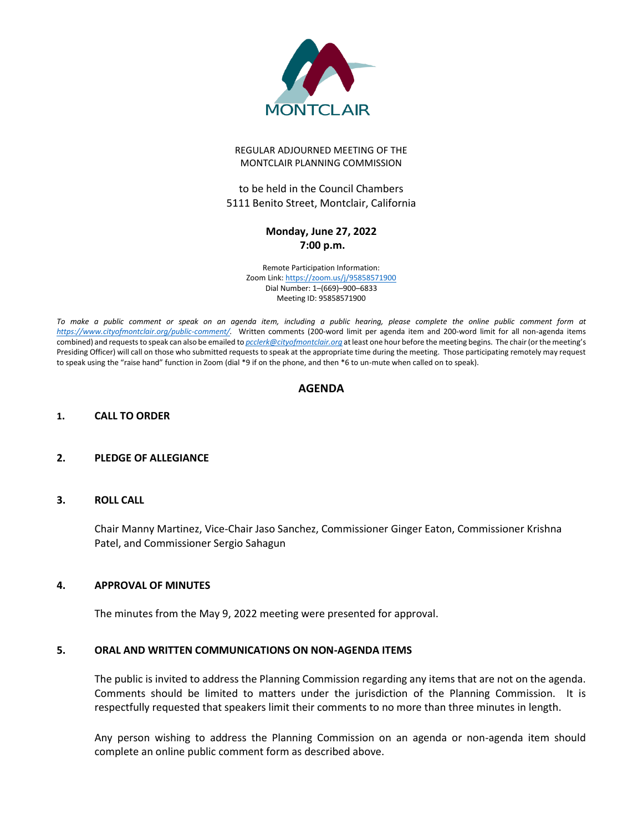

#### REGULAR ADJOURNED MEETING OF THE MONTCLAIR PLANNING COMMISSION

to be held in the Council Chambers 5111 Benito Street, Montclair, California

# **Monday, June 27, 2022 7:00 p.m.**

Remote Participation Information: Zoom Link[: https://zoom.us/j/95858571900](https://zoom.us/j/95858571900) Dial Number: 1–(669)–900–6833 Meeting ID: 95858571900

*To make a public comment or speak on an agenda item, including a public hearing, please complete the online public comment form at [https://www.cityofmontclair.org/public-comment/.](https://www.cityofmontclair.org/public-comment/)* Written comments (200-word limit per agenda item and 200-word limit for all non-agenda items combined) and requests to speak can also be emailed to *[pcclerk@cityofmontclair.org](mailto:pcclerk@cityofmontclair.org)* at least one hour before the meeting begins. The chair (or the meeting's Presiding Officer) will call on those who submitted requests to speak at the appropriate time during the meeting. Those participating remotely may request to speak using the "raise hand" function in Zoom (dial \*9 if on the phone, and then \*6 to un-mute when called on to speak).

# **AGENDA**

### **1. CALL TO ORDER**

### **2. PLEDGE OF ALLEGIANCE**

### **3. ROLL CALL**

Chair Manny Martinez, Vice-Chair Jaso Sanchez, Commissioner Ginger Eaton, Commissioner Krishna Patel, and Commissioner Sergio Sahagun

### **4. APPROVAL OF MINUTES**

The minutes from the May 9, 2022 meeting were presented for approval.

### **5. ORAL AND WRITTEN COMMUNICATIONS ON NON-AGENDA ITEMS**

The public is invited to address the Planning Commission regarding any items that are not on the agenda. Comments should be limited to matters under the jurisdiction of the Planning Commission. It is respectfully requested that speakers limit their comments to no more than three minutes in length.

Any person wishing to address the Planning Commission on an agenda or non-agenda item should complete an online public comment form as described above.